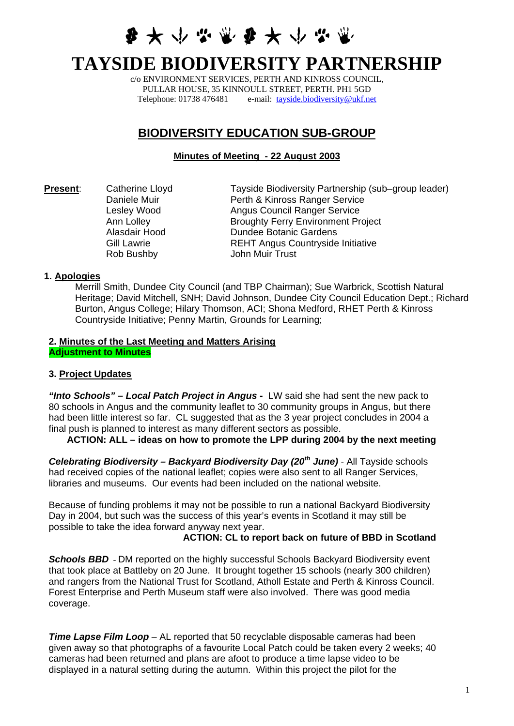**多大小心觉多大小心** 

# **TAYSIDE BIODIVERSITY PARTNERSHIP**

c/o ENVIRONMENT SERVICES, PERTH AND KINROSS COUNCIL, PULLAR HOUSE, 35 KINNOULL STREET, PERTH. PH1 5GD Telephone: 01738 476481 e-mail: [tayside.biodiversity@ukf.net](mailto:tayside.biodiversity@ukf.net)

## **BIODIVERSITY EDUCATION SUB-GROUP**

## **Minutes of Meeting - 22 August 2003**

**Present:** Catherine Lloyd Tayside Biodiversity Partnership (sub–group leader) Daniele Muir **Perth & Kinross Ranger Service** Lesley Wood **Angus Council Ranger Service** Ann Lolley **Broughty Ferry Environment Project** Alasdair Hood Dundee Botanic Gardens Gill Lawrie **REHT Angus Countryside Initiative** Rob Bushby John Muir Trust

#### **1. Apologies**

Merrill Smith, Dundee City Council (and TBP Chairman); Sue Warbrick, Scottish Natural Heritage; David Mitchell, SNH; David Johnson, Dundee City Council Education Dept.; Richard Burton, Angus College; Hilary Thomson, ACI; Shona Medford, RHET Perth & Kinross Countryside Initiative; Penny Martin, Grounds for Learning;

#### **2. Minutes of the Last Meeting and Matters Arising Adjustment to Minutes**

#### **3. Project Updates**

*"Into Schools" – Local Patch Project in Angus* **-** LW said she had sent the new pack to 80 schools in Angus and the community leaflet to 30 community groups in Angus, but there had been little interest so far. CL suggested that as the 3 year project concludes in 2004 a final push is planned to interest as many different sectors as possible.

## **ACTION: ALL – ideas on how to promote the LPP during 2004 by the next meeting**

*Celebrating Biodiversity – Backyard Biodiversity Day (20th June)* - All Tayside schools had received copies of the national leaflet; copies were also sent to all Ranger Services, libraries and museums. Our events had been included on the national website.

Because of funding problems it may not be possible to run a national Backyard Biodiversity Day in 2004, but such was the success of this year's events in Scotland it may still be possible to take the idea forward anyway next year.

#### **ACTION: CL to report back on future of BBD in Scotland**

**Schools BBD** - DM reported on the highly successful Schools Backyard Biodiversity event that took place at Battleby on 20 June. It brought together 15 schools (nearly 300 children) and rangers from the National Trust for Scotland, Atholl Estate and Perth & Kinross Council. Forest Enterprise and Perth Museum staff were also involved. There was good media coverage.

*Time Lapse Film Loop* – AL reported that 50 recyclable disposable cameras had been given away so that photographs of a favourite Local Patch could be taken every 2 weeks; 40 cameras had been returned and plans are afoot to produce a time lapse video to be displayed in a natural setting during the autumn. Within this project the pilot for the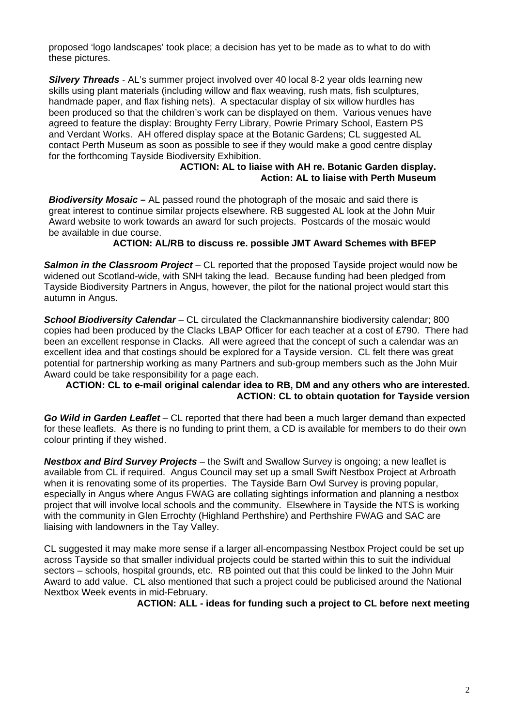proposed 'logo landscapes' took place; a decision has yet to be made as to what to do with these pictures.

*Silvery Threads* - AL's summer project involved over 40 local 8-2 year olds learning new skills using plant materials (including willow and flax weaving, rush mats, fish sculptures, handmade paper, and flax fishing nets). A spectacular display of six willow hurdles has been produced so that the children's work can be displayed on them. Various venues have agreed to feature the display: Broughty Ferry Library, Powrie Primary School, Eastern PS and Verdant Works. AH offered display space at the Botanic Gardens; CL suggested AL contact Perth Museum as soon as possible to see if they would make a good centre display for the forthcoming Tayside Biodiversity Exhibition.

#### **ACTION: AL to liaise with AH re. Botanic Garden display. Action: AL to liaise with Perth Museum**

**Biodiversity Mosaic** – AL passed round the photograph of the mosaic and said there is great interest to continue similar projects elsewhere. RB suggested AL look at the John Muir Award website to work towards an award for such projects. Postcards of the mosaic would be available in due course.

#### **ACTION: AL/RB to discuss re. possible JMT Award Schemes with BFEP**

**Salmon in the Classroom Project** – CL reported that the proposed Tayside project would now be widened out Scotland-wide, with SNH taking the lead. Because funding had been pledged from Tayside Biodiversity Partners in Angus, however, the pilot for the national project would start this autumn in Angus.

*School Biodiversity Calendar –* CL circulated the Clackmannanshire biodiversity calendar; 800 copies had been produced by the Clacks LBAP Officer for each teacher at a cost of £790. There had been an excellent response in Clacks. All were agreed that the concept of such a calendar was an excellent idea and that costings should be explored for a Tayside version. CL felt there was great potential for partnership working as many Partners and sub-group members such as the John Muir Award could be take responsibility for a page each.

#### **ACTION: CL to e-mail original calendar idea to RB, DM and any others who are interested. ACTION: CL to obtain quotation for Tayside version**

*Go Wild in Garden Leaflet* – CL reported that there had been a much larger demand than expected for these leaflets. As there is no funding to print them, a CD is available for members to do their own colour printing if they wished.

*Nestbox and Bird Survey Projects* – the Swift and Swallow Survey is ongoing; a new leaflet is available from CL if required. Angus Council may set up a small Swift Nestbox Project at Arbroath when it is renovating some of its properties. The Tayside Barn Owl Survey is proving popular, especially in Angus where Angus FWAG are collating sightings information and planning a nestbox project that will involve local schools and the community. Elsewhere in Tayside the NTS is working with the community in Glen Errochty (Highland Perthshire) and Perthshire FWAG and SAC are liaising with landowners in the Tay Valley.

CL suggested it may make more sense if a larger all-encompassing Nestbox Project could be set up across Tayside so that smaller individual projects could be started within this to suit the individual sectors – schools, hospital grounds, etc. RB pointed out that this could be linked to the John Muir Award to add value. CL also mentioned that such a project could be publicised around the National Nextbox Week events in mid-February.

**ACTION: ALL - ideas for funding such a project to CL before next meeting**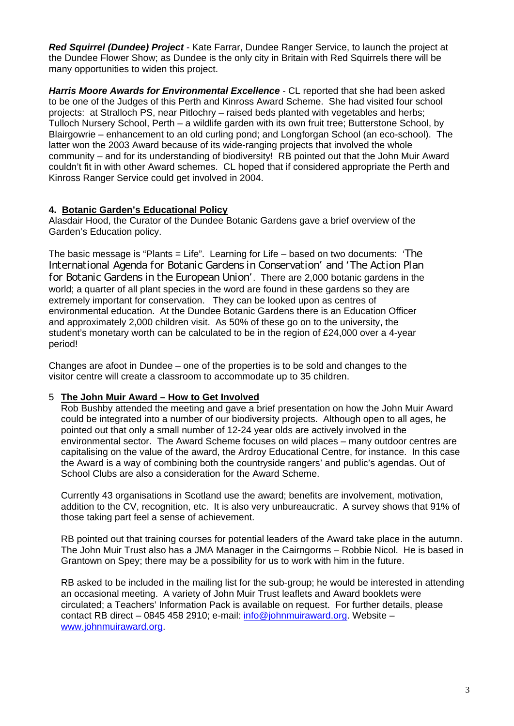*Red Squirrel (Dundee) Project -* Kate Farrar, Dundee Ranger Service, to launch the project at the Dundee Flower Show; as Dundee is the only city in Britain with Red Squirrels there will be many opportunities to widen this project.

*Harris Moore Awards for Environmental Excellence -* CL reported that she had been asked to be one of the Judges of this Perth and Kinross Award Scheme. She had visited four school projects: at Stralloch PS, near Pitlochry – raised beds planted with vegetables and herbs; Tulloch Nursery School, Perth – a wildlife garden with its own fruit tree; Butterstone School, by Blairgowrie – enhancement to an old curling pond; and Longforgan School (an eco-school). The latter won the 2003 Award because of its wide-ranging projects that involved the whole community – and for its understanding of biodiversity! RB pointed out that the John Muir Award couldn't fit in with other Award schemes. CL hoped that if considered appropriate the Perth and Kinross Ranger Service could get involved in 2004.

## **4. Botanic Garden's Educational Policy**

Alasdair Hood, the Curator of the Dundee Botanic Gardens gave a brief overview of the Garden's Education policy.

The basic message is "Plants = Life". Learning for Life – based on two documents: '*The International Agenda for Botanic Gardens in Conservation*' and '*The Action Plan for Botanic Gardens in the European Union*'. There are 2,000 botanic gardens in the world; a quarter of all plant species in the word are found in these gardens so they are extremely important for conservation. They can be looked upon as centres of environmental education. At the Dundee Botanic Gardens there is an Education Officer and approximately 2,000 children visit. As 50% of these go on to the university, the student's monetary worth can be calculated to be in the region of £24,000 over a 4-year period!

Changes are afoot in Dundee – one of the properties is to be sold and changes to the visitor centre will create a classroom to accommodate up to 35 children.

## 5 **The John Muir Award – How to Get Involved**

Rob Bushby attended the meeting and gave a brief presentation on how the John Muir Award could be integrated into a number of our biodiversity projects. Although open to all ages, he pointed out that only a small number of 12-24 year olds are actively involved in the environmental sector. The Award Scheme focuses on wild places – many outdoor centres are capitalising on the value of the award, the Ardroy Educational Centre, for instance. In this case the Award is a way of combining both the countryside rangers' and public's agendas. Out of School Clubs are also a consideration for the Award Scheme.

Currently 43 organisations in Scotland use the award; benefits are involvement, motivation, addition to the CV, recognition, etc. It is also very unbureaucratic. A survey shows that 91% of those taking part feel a sense of achievement.

RB pointed out that training courses for potential leaders of the Award take place in the autumn. The John Muir Trust also has a JMA Manager in the Cairngorms – Robbie Nicol. He is based in Grantown on Spey; there may be a possibility for us to work with him in the future.

RB asked to be included in the mailing list for the sub-group; he would be interested in attending an occasional meeting. A variety of John Muir Trust leaflets and Award booklets were circulated; a Teachers' Information Pack is available on request. For further details, please contact RB direct – 0845 458 2910; e-mail: [info@johnmuiraward.org](mailto:info@johnmuiraward.org). Website – [www.johnmuiraward.org.](http://www.johnmuiraward.org/)